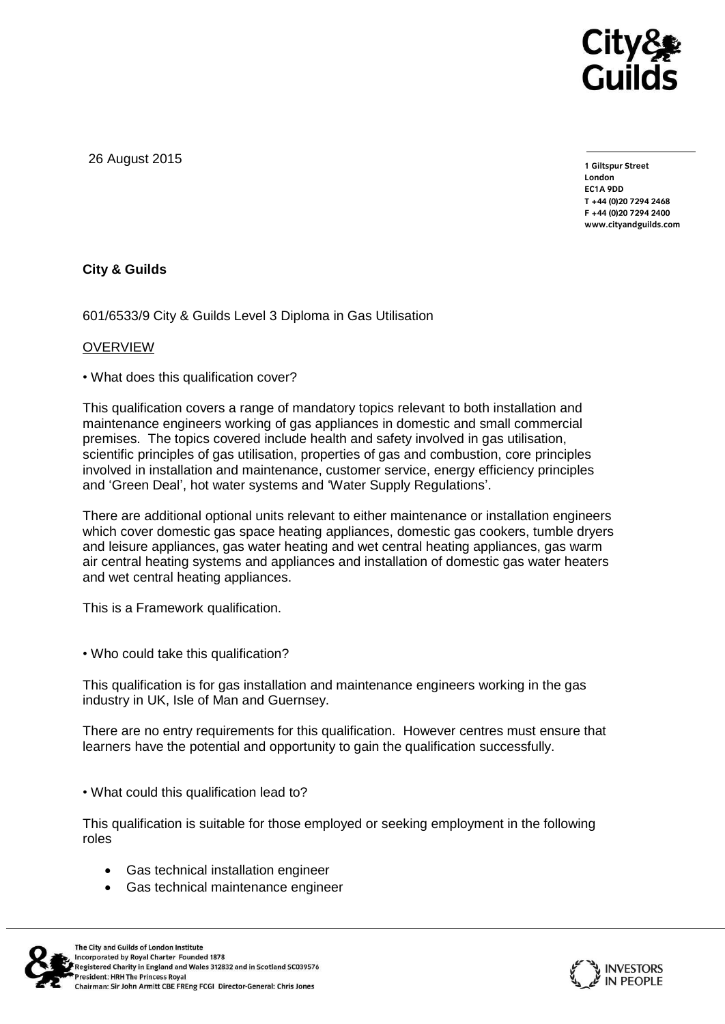

26 August 2015

**1 Giltspur Street EC1A 9DD**  $T + 44 (0)20 7294 2468$ **T +44 (0)20 7294 246[8](http://www.cityandguilds.com/) F +44 (0)20 7294 2400 [www.cityandguilds.com](http://www.cityandguilds.com/)**

## **City & Guilds**

601/6533/9 City & Guilds Level 3 Diploma in Gas Utilisation

## OVERVIEW

• What does this qualification cover?

This qualification covers a range of mandatory topics relevant to both installation and maintenance engineers working of gas appliances in domestic and small commercial premises. The topics covered include health and safety involved in gas utilisation, scientific principles of gas utilisation, properties of gas and combustion, core principles involved in installation and maintenance, customer service, energy efficiency principles and 'Green Deal', hot water systems and 'Water Supply Regulations'.

There are additional optional units relevant to either maintenance or installation engineers which cover domestic gas space heating appliances, domestic gas cookers, tumble dryers and leisure appliances, gas water heating and wet central heating appliances, gas warm air central heating systems and appliances and installation of domestic gas water heaters and wet central heating appliances.

This is a Framework qualification.

• Who could take this qualification?

This qualification is for gas installation and maintenance engineers working in the gas industry in UK, Isle of Man and Guernsey.

There are no entry requirements for this qualification. However centres must ensure that learners have the potential and opportunity to gain the qualification successfully.

• What could this qualification lead to?

This qualification is suitable for those employed or seeking employment in the following roles

- Gas technical installation engineer
- Gas technical maintenance engineer